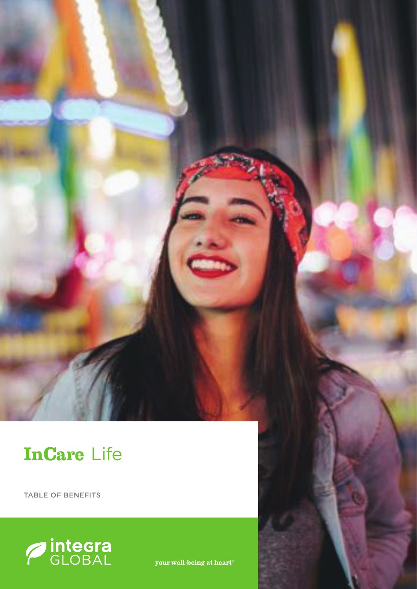# **InCare** Life

TABLE OF BENEFITS



your well-being at heart®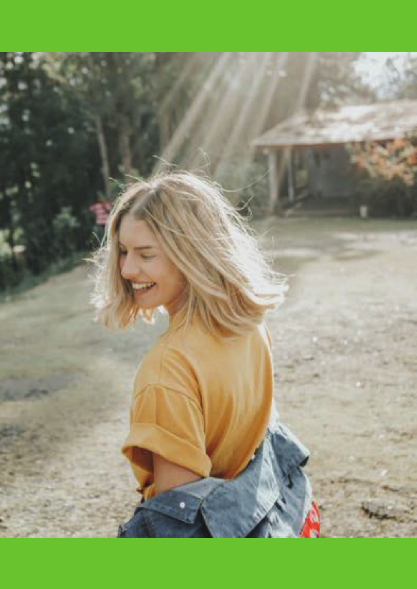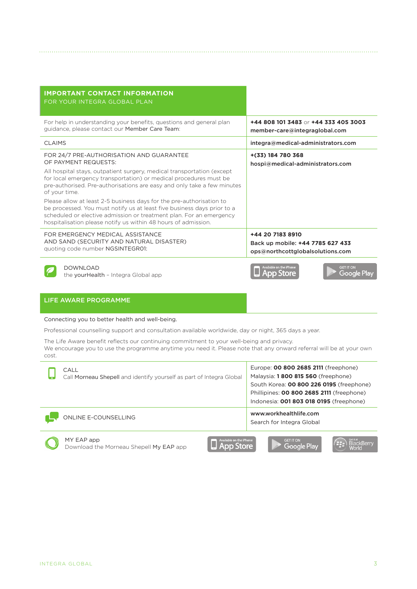| <b>IMPORTANT CONTACT INFORMATION</b><br>FOR YOUR INTEGRA GLOBAL PLAN                                                                                                                                                                                                                                                                                                                                                                                                                                                                                                                                    |                                                                                          |
|---------------------------------------------------------------------------------------------------------------------------------------------------------------------------------------------------------------------------------------------------------------------------------------------------------------------------------------------------------------------------------------------------------------------------------------------------------------------------------------------------------------------------------------------------------------------------------------------------------|------------------------------------------------------------------------------------------|
| For help in understanding your benefits, questions and general plan<br>quidance, please contact our Member Care Team:                                                                                                                                                                                                                                                                                                                                                                                                                                                                                   | +44 808 101 3483 or +44 333 405 3003<br>member-care@integraglobal.com                    |
| <b>CLAIMS</b>                                                                                                                                                                                                                                                                                                                                                                                                                                                                                                                                                                                           | integra@medical-administrators.com                                                       |
| FOR 24/7 PRE-AUTHORISATION AND GUARANTEE<br>OF PAYMENT REQUESTS:<br>All hospital stays, outpatient surgery, medical transportation (except<br>for local emergency transportation) or medical procedures must be<br>pre-authorised. Pre-authorisations are easy and only take a few minutes<br>of your time.<br>Please allow at least 2-5 business days for the pre-authorisation to<br>be processed. You must notify us at least five business days prior to a<br>scheduled or elective admission or treatment plan. For an emergency<br>hospitalisation please notify us within 48 hours of admission. | $+(33)$ 184 780 368<br>hospi@medical-administrators.com                                  |
| FOR EMERGENCY MEDICAL ASSISTANCE<br>AND SAND (SECURITY AND NATURAL DISASTER)<br>quoting code number NGSINTEGR01:                                                                                                                                                                                                                                                                                                                                                                                                                                                                                        | +44 20 7183 8910<br>Back up mobile: +44 7785 627 433<br>ops@northcottglobalsolutions.com |
| <b>DOWNLOAD</b><br>the your Health - Integra Global app                                                                                                                                                                                                                                                                                                                                                                                                                                                                                                                                                 | <b>GET IT ON</b><br>Avai <b>l</b> able on the iPhone<br><u>Google Play</u>               |

# LIFE AWARE PROGRAMME

#### Connecting you to better health and well-being.

Professional counselling support and consultation available worldwide, day or night, 365 days a year.

The Life Aware benefit reflects our continuing commitment to your well-being and privacy.

We encourage you to use the programme anytime you need it. Please note that any onward referral will be at your own cost.

| <b>CALL</b><br>Call Morneau Shepell and identify yourself as part of Integra Global | Europe: 00 800 2685 2111 (freephone)<br>Malaysia: 1800 815 560 (freephone)<br>South Korea: 00 800 226 0195 (freephone)<br>Phillipines: 00 800 2685 2111 (freephone)<br>Indonesia: 001 803 018 0195 (freephone) |
|-------------------------------------------------------------------------------------|----------------------------------------------------------------------------------------------------------------------------------------------------------------------------------------------------------------|
| ONLINE E-COUNSELLING                                                                | www.workhealthlife.com<br>Search for Integra Global                                                                                                                                                            |
| MY EAP app<br>Available on the iPhone<br>Download the Morneau Shepell My EAP app    | <b>GET IT ON</b><br><b>BlackBerry</b><br>Google Play                                                                                                                                                           |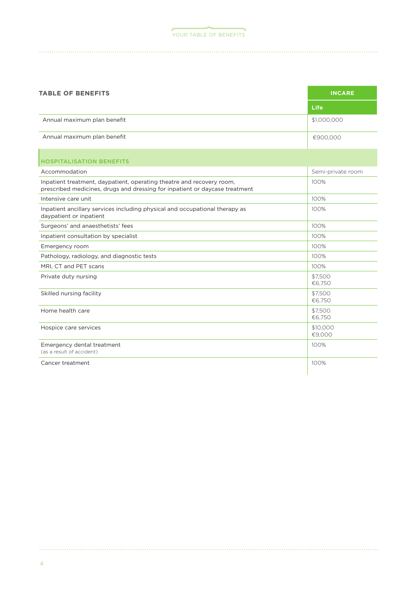| <b>TABLE OF BENEFITS</b>                                                                                                                             | <b>INCARE</b>      |
|------------------------------------------------------------------------------------------------------------------------------------------------------|--------------------|
|                                                                                                                                                      | Life               |
| Annual maximum plan benefit                                                                                                                          | \$1,000,000        |
| Annual maximum plan benefit                                                                                                                          | €900,000           |
| <b>HOSPITALISATION BENEFITS</b>                                                                                                                      |                    |
| Accommodation                                                                                                                                        | Semi-private room  |
| Inpatient treatment, daypatient, operating theatre and recovery room,<br>prescribed medicines, drugs and dressing for inpatient or daycase treatment | 100%               |
| Intensive care unit                                                                                                                                  | 100%               |
| Inpatient ancillary services including physical and occupational therapy as<br>daypatient or inpatient                                               | 100%               |
| Surgeons' and anaesthetists' fees                                                                                                                    | 100%               |
| Inpatient consultation by specialist                                                                                                                 | 100%               |
| Emergency room                                                                                                                                       | 100%               |
| Pathology, radiology, and diagnostic tests                                                                                                           | 100%               |
| MRI, CT and PET scans                                                                                                                                | 100%               |
| Private duty nursing                                                                                                                                 | \$7,500<br>€6,750  |
| Skilled nursing facility                                                                                                                             | \$7,500<br>€6,750  |
| Home health care                                                                                                                                     | \$7,500<br>€6,750  |
| Hospice care services                                                                                                                                | \$10,000<br>€9.000 |
| Emergency dental treatment<br>(as a result of accident)                                                                                              | 100%               |
| Cancer treatment                                                                                                                                     | 100%               |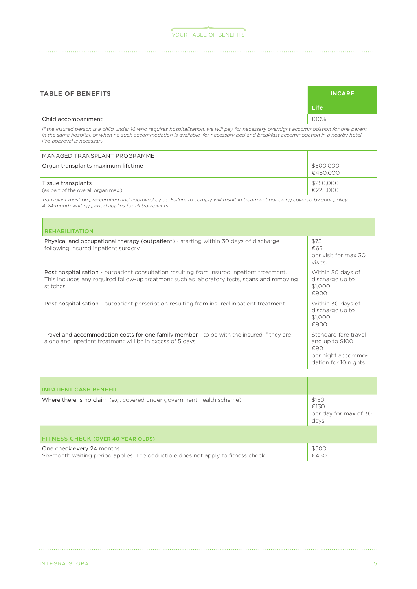| <b>TABLE OF BENEFITS</b> | <b>INCARE</b> |
|--------------------------|---------------|
|                          | Life          |
| Child accompaniment      | 100%          |

*If the insured person is a child under 16 who requires hospitalisation, we will pay for necessary overnight accommodation for one parent in the same hospital, or when no such accommodation is available, for necessary bed and breakfast accommodation in a nearby hotel. Pre-approval is necessary.*

| MANAGED TRANSPLANT PROGRAMME                              |                       |
|-----------------------------------------------------------|-----------------------|
| Organ transplants maximum lifetime                        | \$500,000<br>€450.000 |
| Tissue transplants<br>(as part of the overall organ max.) | \$250,000<br>€225.000 |

*Transplant must be pre-certified and approved by us. Failure to comply will result in treatment not being covered by your policy. A 24-month waiting period applies for all transplants.* 

| <b>REHABILITATION</b>                                                                                                                                                                                  |                                                                                              |
|--------------------------------------------------------------------------------------------------------------------------------------------------------------------------------------------------------|----------------------------------------------------------------------------------------------|
| Physical and occupational therapy (outpatient) - starting within 30 days of discharge<br>following insured inpatient surgery                                                                           | \$75<br>€65<br>per visit for max 30<br>visits.                                               |
| Post hospitalisation - outpatient consultation resulting from insured inpatient treatment.<br>This includes any required follow-up treatment such as laboratory tests, scans and removing<br>stitches. | Within 30 days of<br>discharge up to<br>\$1,000<br>€900                                      |
| Post hospitalisation - outpatient perscription resulting from insured inpatient treatment                                                                                                              | Within 30 days of<br>discharge up to<br>\$1,000<br>€900                                      |
| Travel and accommodation costs for one family member - to be with the insured if they are<br>alone and inpatient treatment will be in excess of 5 days                                                 | Standard fare travel<br>and up to \$100<br>€90<br>per night accommo-<br>dation for 10 nights |
| INPATIENT CASH BENEFIT                                                                                                                                                                                 |                                                                                              |

Where there is no claim (e.g. covered under government health scheme) \$150

| <b>FITNESS CHECK (OVER 40 YEAR OLDS)</b>                                          |       |
|-----------------------------------------------------------------------------------|-------|
| One check every 24 months.                                                        | \$500 |
| Six-month waiting period applies. The deductible does not apply to fitness check. | €450  |

€130

days

per day for max of 30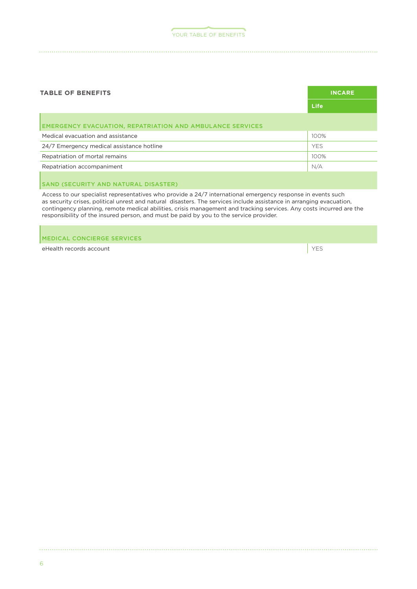| <b>TABLE OF BENEFITS</b>                                         | <b>INCARE</b> |
|------------------------------------------------------------------|---------------|
|                                                                  | Life          |
|                                                                  |               |
| <b>EMERGENCY EVACUATION, REPATRIATION AND AMBULANCE SERVICES</b> |               |
| Medical evacuation and assistance                                | 100%          |
| 24/7 Emergency medical assistance hotline                        | <b>YES</b>    |
| Repatriation of mortal remains                                   | 100%          |
| Repatriation accompaniment                                       | N/A           |
|                                                                  |               |

## SAND (SECURITY AND NATURAL DISASTER)

Access to our specialist representatives who provide a 24/7 international emergency response in events such as security crises, political unrest and natural disasters. The services include assistance in arranging evacuation, contingency planning, remote medical abilities, crisis management and tracking services. Any costs incurred are the responsibility of the insured person, and must be paid by you to the service provider.

MEDICAL CONCIERGE SERVICES

eHealth records account YES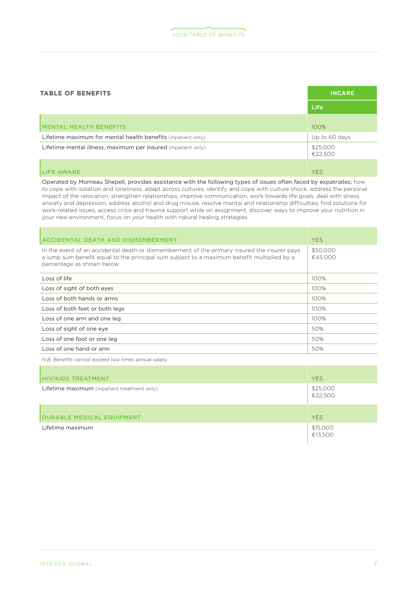| <b>TABLE OF BENEFITS</b>                                      | <b>INCARE</b>       |
|---------------------------------------------------------------|---------------------|
|                                                               | Life                |
| <b>MENTAL HEALTH BENEFITS</b>                                 | 100%                |
| Lifetime maximum for mental health benefits (inpatient only)  | Up to 60 days       |
| Lifetime mental illness, maximum per insured (inpatient only) | \$25,000<br>€22,500 |
| <b>LIFE AWARE</b>                                             | <b>YES</b>          |

Operated by Morneau Shepell, provides assistance with the following types of issues often faced by expatriates: how to cope with isolation and loneliness, adapt across cultures, identify and cope with culture shock, address the personal impact of the relocation, strengthen relationships, improve communication, work towards life goals, deal with stress, anxiety and depression, address alcohol and drug misuse, resolve marital and relationship difficulties, find solutions for work-related issues, access crisis and trauma support while on assignment, discover ways to improve your nutrition in your new environment, focus on your health with natural healing strategies.

| <b>ACCIDENTAL DEATH AND DISMEMBERMENT</b>                                                                                                                                                                                | <b>YFS</b>          |
|--------------------------------------------------------------------------------------------------------------------------------------------------------------------------------------------------------------------------|---------------------|
| In the event of an accidental death or dismemberment of the primary insured the insurer pays<br>a lump sum benefit equal to the principal sum subject to a maximum benefit multiplied by a<br>percentage as shown below. | \$50,000<br>€45.000 |
| Loss of life                                                                                                                                                                                                             | 100%                |
| Loss of sight of both eyes                                                                                                                                                                                               | 100%                |
| Loss of both hands or arms                                                                                                                                                                                               | 100%                |
| Loss of both feet or both legs                                                                                                                                                                                           | 100%                |
| Loss of one arm and one leg                                                                                                                                                                                              | 100%                |
| Loss of sight of one eye                                                                                                                                                                                                 | 50%                 |
| Loss of one foot or one leg                                                                                                                                                                                              | 50%                 |
| Loss of one hand or arm                                                                                                                                                                                                  | 50%                 |

*N.B. Benefits cannot exceed two times annual salary.*

| <b>HIV/AIDS TREATMENT</b>                   | <b>YES</b>          |
|---------------------------------------------|---------------------|
| Lifetime maximum (inpatient treatment only) | \$25,000<br>€22,500 |
| <b>DURABLE MEDICAL EQUIPMENT</b>            | <b>YES</b>          |
| Lifetime maximum                            | \$15,000<br>€13,500 |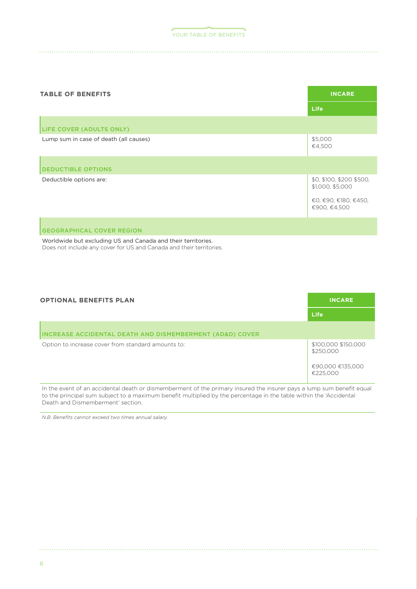| <b>TABLE OF BENEFITS</b>               | <b>INCARE</b>                                |
|----------------------------------------|----------------------------------------------|
|                                        | <b>Life</b>                                  |
| LIFE COVER (ADULTS ONLY)               |                                              |
| Lump sum in case of death (all causes) | \$5,000<br>€4,500                            |
| <b>DEDUCTIBLE OPTIONS</b>              |                                              |
| Deductible options are:                | \$0, \$100, \$200 \$500,<br>\$1,000, \$5,000 |
|                                        | €0, €90, €180, €450,<br>€900, €4,500         |
| <b>GEOGRAPHICAL COVER REGION</b>       |                                              |

Worldwide but excluding US and Canada and their territories. Does not include any cover for US and Canada and their territories.

| <b>OPTIONAL BENEFITS PLAN</b>                            | <b>INCARE</b>                    |
|----------------------------------------------------------|----------------------------------|
|                                                          | Life                             |
| INCREASE ACCIDENTAL DEATH AND DISMEMBERMENT (AD&D) COVER |                                  |
| Option to increase cover from standard amounts to:       | \$100,000 \$150,000<br>\$250,000 |
|                                                          | €90,000 €135,000<br>€225,000     |

In the event of an accidental death or dismemberment of the primary insured the insurer pays a lump sum benefit equal to the principal sum subject to a maximum benefit multiplied by the percentage in the table within the 'Accidental Death and Dismemberment' section.

*N.B. Benefits cannot exceed two times annual salary.*